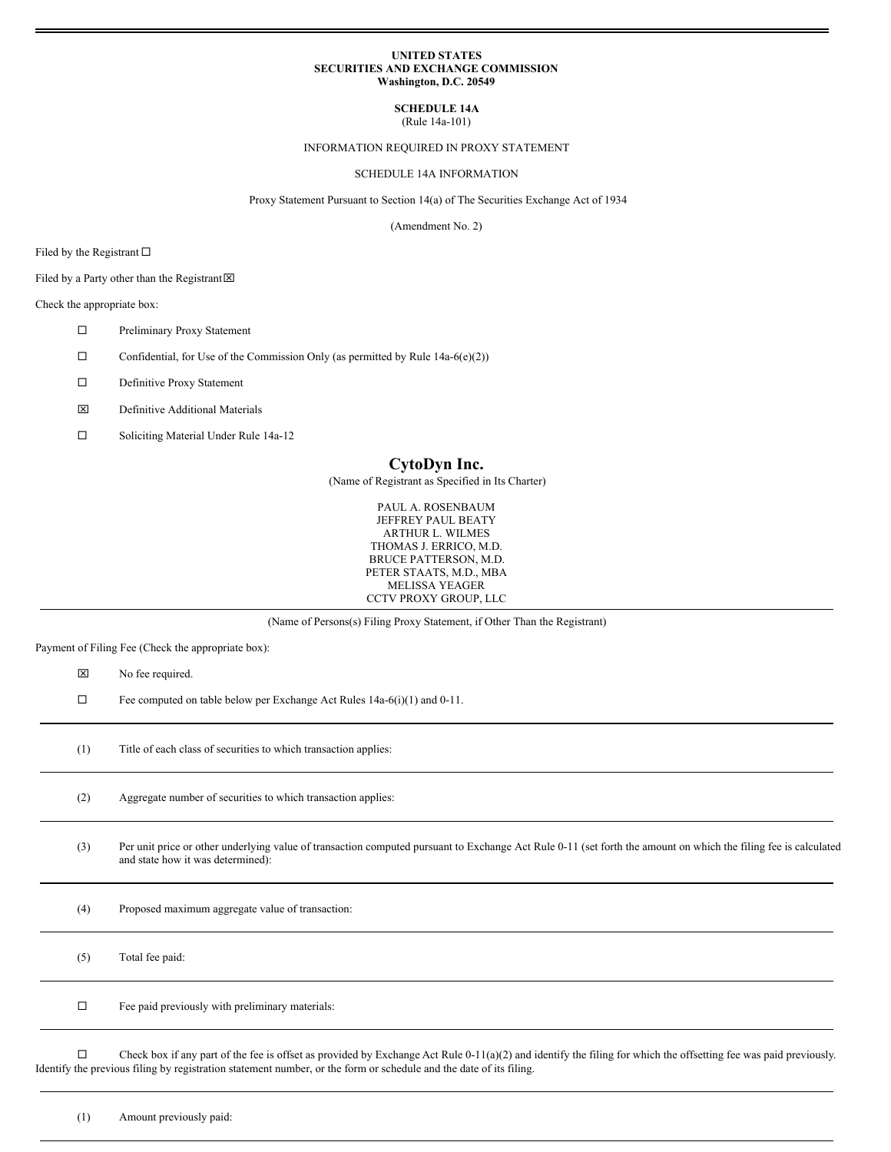## **UNITED STATES SECURITIES AND EXCHANGE COMMISSION Washington, D.C. 20549**

# **SCHEDULE 14A**

(Rule 14a-101)

# INFORMATION REQUIRED IN PROXY STATEMENT

# SCHEDULE 14A INFORMATION

Proxy Statement Pursuant to Section 14(a) of The Securities Exchange Act of 1934

(Amendment No. 2)

Filed by the Registrant  $\square$ 

Filed by a Party other than the Registrant $\boxtimes$ 

# Check the appropriate box:

- $\square$  Preliminary Proxy Statement
- $\Box$  Confidential, for Use of the Commission Only (as permitted by Rule 14a-6(e)(2))
- □ Definitive Proxy Statement
- x Definitive Additional Materials
- □ Soliciting Material Under Rule 14a-12

# **CytoDyn Inc.**

(Name of Registrant as Specified in Its Charter)

PAUL A. ROSENBAUM JEFFREY PAUL BEATY ARTHUR L. WILMES THOMAS J. ERRICO, M.D. BRUCE PATTERSON, M.D. PETER STAATS, M.D., MBA MELISSA YEAGER CCTV PROXY GROUP, LLC

(Name of Persons(s) Filing Proxy Statement, if Other Than the Registrant)

Payment of Filing Fee (Check the appropriate box):

 $\boxtimes$  No fee required.

 $\Box$  Fee computed on table below per Exchange Act Rules 14a-6(i)(1) and 0-11.

(1) Title of each class of securities to which transaction applies:

(2) Aggregate number of securities to which transaction applies:

(3) Per unit price or other underlying value of transaction computed pursuant to Exchange Act Rule 0-11 (set forth the amount on which the filing fee is calculated and state how it was determined):

(4) Proposed maximum aggregate value of transaction:

(5) Total fee paid:  $\square$  Fee paid previously with preliminary materials:

 $\Box$  Check box if any part of the fee is offset as provided by Exchange Act Rule 0-11(a)(2) and identify the filing for which the offsetting fee was paid previously. Identify the previous filing by registration statement number, or the form or schedule and the date of its filing.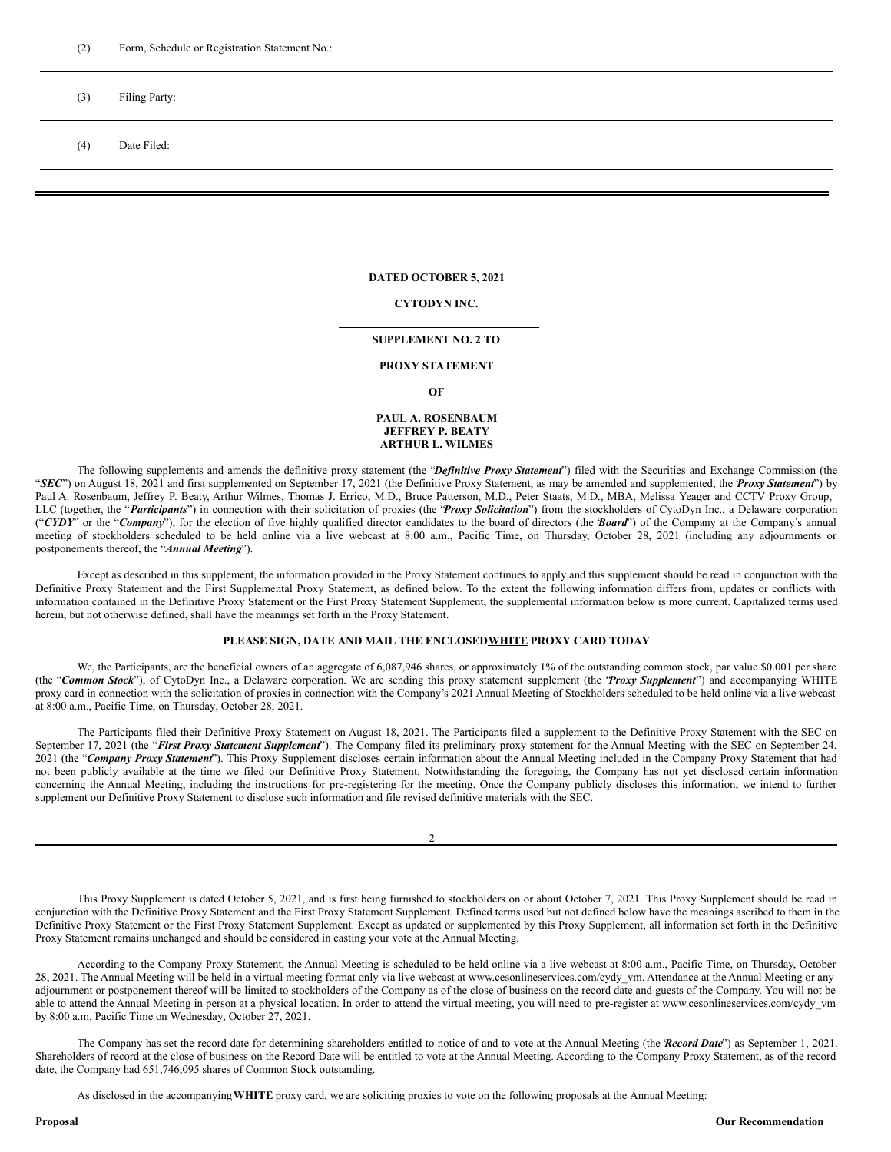# (3) Filing Party:

(4) Date Filed:

### **DATED OCTOBER 5, 2021**

## **CYTODYN INC.**

## **SUPPLEMENT NO. 2 TO**

# **PROXY STATEMENT**

**OF**

# **PAUL A. ROSENBAUM JEFFREY P. BEATY ARTHUR L. WILMES**

The following supplements and amends the definitive proxy statement (the "*Definitive Proxy Statement*") filed with the Securities and Exchange Commission (the "*SEC*") on August 18, 2021 and first supplemented on September 17, 2021 (the Definitive Proxy Statement, as may be amended and supplemented, the "*Proxy Statement*") by Paul A. Rosenbaum, Jeffrey P. Beaty, Arthur Wilmes, Thomas J. Errico, M.D., Bruce Patterson, M.D., Peter Staats, M.D., MBA, Melissa Yeager and CCTV Proxy Group, LLC (together, the "*Participants*") in connection with their solicitation of proxies (the "*Proxy Solicitation*") from the stockholders of CytoDyn Inc., a Delaware corporation ("CYDY" or the "*Company*"), for the election of five highly qualified director candidates to the board of directors (the *Board*") of the Company at the Company's annual meeting of stockholders scheduled to be held online via a live webcast at 8:00 a.m., Pacific Time, on Thursday, October 28, 2021 (including any adjournments or postponements thereof, the "*Annual Meeting*").

Except as described in this supplement, the information provided in the Proxy Statement continues to apply and this supplement should be read in conjunction with the Definitive Proxy Statement and the First Supplemental Proxy Statement, as defined below. To the extent the following information differs from, updates or conflicts with information contained in the Definitive Proxy Statement or the First Proxy Statement Supplement, the supplemental information below is more current. Capitalized terms used herein, but not otherwise defined, shall have the meanings set forth in the Proxy Statement.

## **PLEASE SIGN, DATE AND MAIL THE ENCLOSEDWHITE PROXY CARD TODAY**

We, the Participants, are the beneficial owners of an aggregate of 6,087,946 shares, or approximately 1% of the outstanding common stock, par value \$0.001 per share (the "*Common Stock*"), of CytoDyn Inc., a Delaware corporation. We are sending this proxy statement supplement (the "*Proxy Supplement*") and accompanying WHITE proxy card in connection with the solicitation of proxies in connection with the Company's 2021 Annual Meeting of Stockholders scheduled to be held online via a live webcast at 8:00 a.m., Pacific Time, on Thursday, October 28, 2021.

The Participants filed their Definitive Proxy Statement on August 18, 2021. The Participants filed a supplement to the Definitive Proxy Statement with the SEC on September 17, 2021 (the "*First Proxy Statement Supplement*"). The Company filed its preliminary proxy statement for the Annual Meeting with the SEC on September 24, 2021 (the "*Company Proxy Statement*"). This Proxy Supplement discloses certain information about the Annual Meeting included in the Company Proxy Statement that had not been publicly available at the time we filed our Definitive Proxy Statement. Notwithstanding the foregoing, the Company has not yet disclosed certain information concerning the Annual Meeting, including the instructions for pre-registering for the meeting. Once the Company publicly discloses this information, we intend to further supplement our Definitive Proxy Statement to disclose such information and file revised definitive materials with the SEC.

 $\mathcal{D}$ 

This Proxy Supplement is dated October 5, 2021, and is first being furnished to stockholders on or about October 7, 2021. This Proxy Supplement should be read in conjunction with the Definitive Proxy Statement and the First Proxy Statement Supplement. Defined terms used but not defined below have the meanings ascribed to them in the Definitive Proxy Statement or the First Proxy Statement Supplement. Except as updated or supplemented by this Proxy Supplement, all information set forth in the Definitive Proxy Statement remains unchanged and should be considered in casting your vote at the Annual Meeting.

According to the Company Proxy Statement, the Annual Meeting is scheduled to be held online via a live webcast at 8:00 a.m., Pacific Time, on Thursday, October 28, 2021. The Annual Meeting will be held in a virtual meeting format only via live webcast at www.cesonlineservices.com/cydy\_vm. Attendance at the Annual Meeting or any adjournment or postponement thereof will be limited to stockholders of the Company as of the close of business on the record date and guests of the Company. You will not be able to attend the Annual Meeting in person at a physical location. In order to attend the virtual meeting, you will need to pre-register at www.cesonlineservices.com/cydy\_vm by 8:00 a.m. Pacific Time on Wednesday, October 27, 2021.

The Company has set the record date for determining shareholders entitled to notice of and to vote at the Annual Meeting (the **Record Date**") as September 1, 2021. Shareholders of record at the close of business on the Record Date will be entitled to vote at the Annual Meeting. According to the Company Proxy Statement, as of the record date, the Company had 651,746,095 shares of Common Stock outstanding.

As disclosed in the accompanying**WHITE** proxy card, we are soliciting proxies to vote on the following proposals at the Annual Meeting: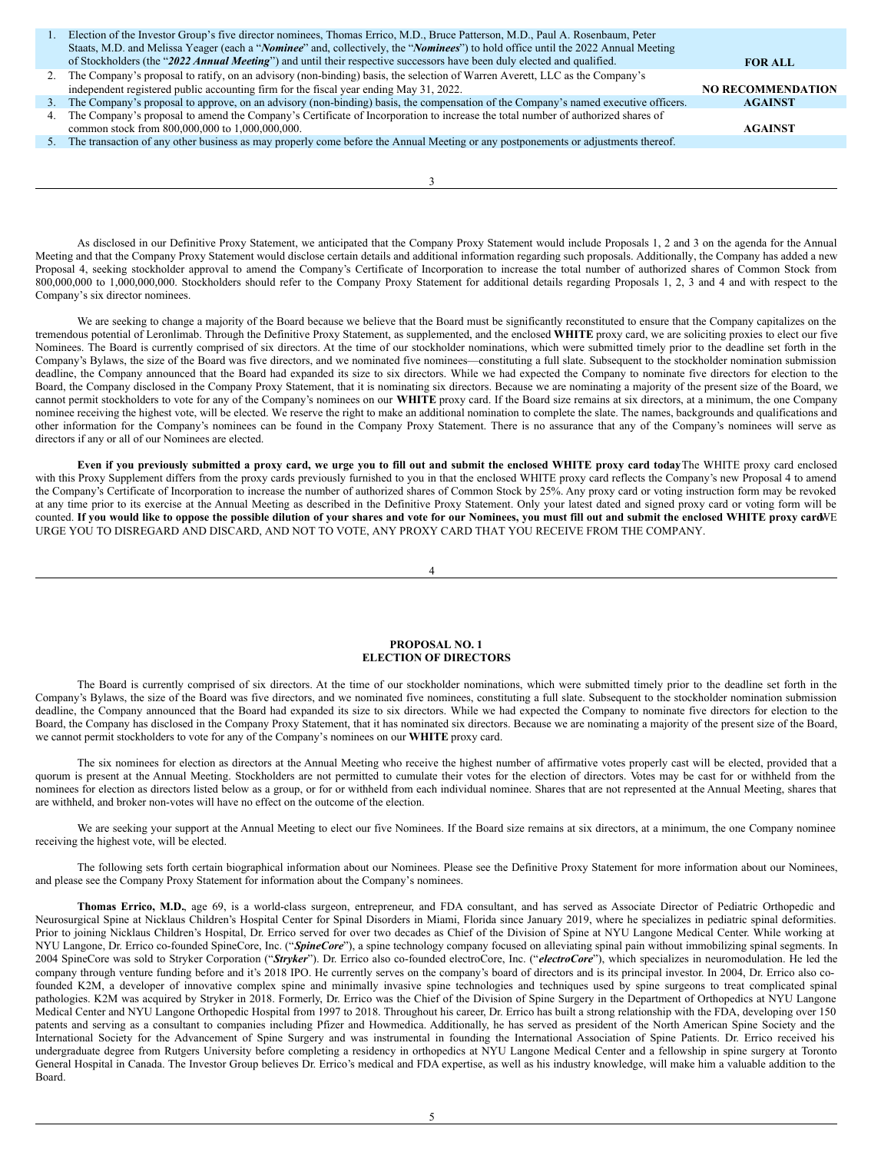|    | Election of the Investor Group's five director nominees, Thomas Errico, M.D., Bruce Patterson, M.D., Paul A. Rosenbaum, Peter                       |                          |
|----|-----------------------------------------------------------------------------------------------------------------------------------------------------|--------------------------|
|    | Staats, M.D. and Melissa Yeager (each a " <i>Nominee</i> " and, collectively, the " <i>Nominees</i> ") to hold office until the 2022 Annual Meeting |                          |
|    | of Stockholders (the "2022 Annual Meeting") and until their respective successors have been duly elected and qualified.                             | <b>FOR ALL</b>           |
|    | The Company's proposal to ratify, on an advisory (non-binding) basis, the selection of Warren Averett, LLC as the Company's                         |                          |
|    | independent registered public accounting firm for the fiscal year ending May 31, 2022.                                                              | <b>NO RECOMMENDATION</b> |
|    | The Company's proposal to approve, on an advisory (non-binding) basis, the compensation of the Company's named executive officers.                  | <b>AGAINST</b>           |
| 4. | The Company's proposal to amend the Company's Certificate of Incorporation to increase the total number of authorized shares of                     |                          |
|    | common stock from 800,000,000 to 1,000,000,000.                                                                                                     | <b>AGAINST</b>           |
|    | The transaction of any other business as may properly come before the Annual Meeting or any postponements or adjustments thereof.                   |                          |
|    |                                                                                                                                                     |                          |
|    |                                                                                                                                                     |                          |
|    |                                                                                                                                                     |                          |

As disclosed in our Definitive Proxy Statement, we anticipated that the Company Proxy Statement would include Proposals 1, 2 and 3 on the agenda for the Annual Meeting and that the Company Proxy Statement would disclose certain details and additional information regarding such proposals. Additionally, the Company has added a new Proposal 4, seeking stockholder approval to amend the Company's Certificate of Incorporation to increase the total number of authorized shares of Common Stock from 800,000,000 to 1,000,000,000. Stockholders should refer to the Company Proxy Statement for additional details regarding Proposals 1, 2, 3 and 4 and with respect to the Company's six director nominees.

We are seeking to change a majority of the Board because we believe that the Board must be significantly reconstituted to ensure that the Company capitalizes on the tremendous potential of Leronlimab. Through the Definitive Proxy Statement, as supplemented, and the enclosed **WHITE** proxy card, we are soliciting proxies to elect our five Nominees. The Board is currently comprised of six directors. At the time of our stockholder nominations, which were submitted timely prior to the deadline set forth in the Company's Bylaws, the size of the Board was five directors, and we nominated five nominees—constituting a full slate. Subsequent to the stockholder nomination submission deadline, the Company announced that the Board had expanded its size to six directors. While we had expected the Company to nominate five directors for election to the Board, the Company disclosed in the Company Proxy Statement, that it is nominating six directors. Because we are nominating a majority of the present size of the Board, we cannot permit stockholders to vote for any of the Company's nominees on our **WHITE** proxy card. If the Board size remains at six directors, at a minimum, the one Company nominee receiving the highest vote, will be elected. We reserve the right to make an additional nomination to complete the slate. The names, backgrounds and qualifications and other information for the Company's nominees can be found in the Company Proxy Statement. There is no assurance that any of the Company's nominees will serve as directors if any or all of our Nominees are elected.

Even if you previously submitted a proxy card, we urge you to fill out and submit the enclosed WHITE proxy card todayThe WHITE proxy card enclosed with this Proxy Supplement differs from the proxy cards previously furnished to you in that the enclosed WHITE proxy card reflects the Company's new Proposal 4 to amend the Company's Certificate of Incorporation to increase the number of authorized shares of Common Stock by 25%. Any proxy card or voting instruction form may be revoked at any time prior to its exercise at the Annual Meeting as described in the Definitive Proxy Statement. Only your latest dated and signed proxy card or voting form will be counted. If you would like to oppose the possible dilution of your shares and vote for our Nominees, you must fill out and submit the enclosed WHITE proxy cardWE URGE YOU TO DISREGARD AND DISCARD, AND NOT TO VOTE, ANY PROXY CARD THAT YOU RECEIVE FROM THE COMPANY.

4

### **PROPOSAL NO. 1 ELECTION OF DIRECTORS**

The Board is currently comprised of six directors. At the time of our stockholder nominations, which were submitted timely prior to the deadline set forth in the Company's Bylaws, the size of the Board was five directors, and we nominated five nominees, constituting a full slate. Subsequent to the stockholder nomination submission deadline, the Company announced that the Board had expanded its size to six directors. While we had expected the Company to nominate five directors for election to the Board, the Company has disclosed in the Company Proxy Statement, that it has nominated six directors. Because we are nominating a majority of the present size of the Board, we cannot permit stockholders to vote for any of the Company's nominees on our **WHITE** proxy card.

The six nominees for election as directors at the Annual Meeting who receive the highest number of affirmative votes properly cast will be elected, provided that a quorum is present at the Annual Meeting. Stockholders are not permitted to cumulate their votes for the election of directors. Votes may be cast for or withheld from the nominees for election as directors listed below as a group, or for or withheld from each individual nominee. Shares that are not represented at the Annual Meeting, shares that are withheld, and broker non-votes will have no effect on the outcome of the election.

We are seeking your support at the Annual Meeting to elect our five Nominees. If the Board size remains at six directors, at a minimum, the one Company nominee receiving the highest vote, will be elected.

The following sets forth certain biographical information about our Nominees. Please see the Definitive Proxy Statement for more information about our Nominees, and please see the Company Proxy Statement for information about the Company's nominees.

**Thomas Errico, M.D.**, age 69, is a world-class surgeon, entrepreneur, and FDA consultant, and has served as Associate Director of Pediatric Orthopedic and Neurosurgical Spine at Nicklaus Children's Hospital Center for Spinal Disorders in Miami, Florida since January 2019, where he specializes in pediatric spinal deformities. Prior to joining Nicklaus Children's Hospital, Dr. Errico served for over two decades as Chief of the Division of Spine at NYU Langone Medical Center. While working at NYU Langone, Dr. Errico co-founded SpineCore, Inc. ("SpineCore"), a spine technology company focused on alleviating spinal pain without immobilizing spinal segments. In 2004 SpineCore was sold to Stryker Corporation ("*Stryker*"). Dr. Errico also co-founded electroCore, Inc. ("*electroCore*"), which specializes in neuromodulation. He led the company through venture funding before and it's 2018 IPO. He currently serves on the company's board of directors and is its principal investor. In 2004, Dr. Errico also cofounded K2M, a developer of innovative complex spine and minimally invasive spine technologies and techniques used by spine surgeons to treat complicated spinal pathologies. K2M was acquired by Stryker in 2018. Formerly, Dr. Errico was the Chief of the Division of Spine Surgery in the Department of Orthopedics at NYU Langone Medical Center and NYU Langone Orthopedic Hospital from 1997 to 2018. Throughout his career, Dr. Errico has built a strong relationship with the FDA, developing over 150 patents and serving as a consultant to companies including Pfizer and Howmedica. Additionally, he has served as president of the North American Spine Society and the International Society for the Advancement of Spine Surgery and was instrumental in founding the International Association of Spine Patients. Dr. Errico received his undergraduate degree from Rutgers University before completing a residency in orthopedics at NYU Langone Medical Center and a fellowship in spine surgery at Toronto General Hospital in Canada. The Investor Group believes Dr. Errico's medical and FDA expertise, as well as his industry knowledge, will make him a valuable addition to the Board.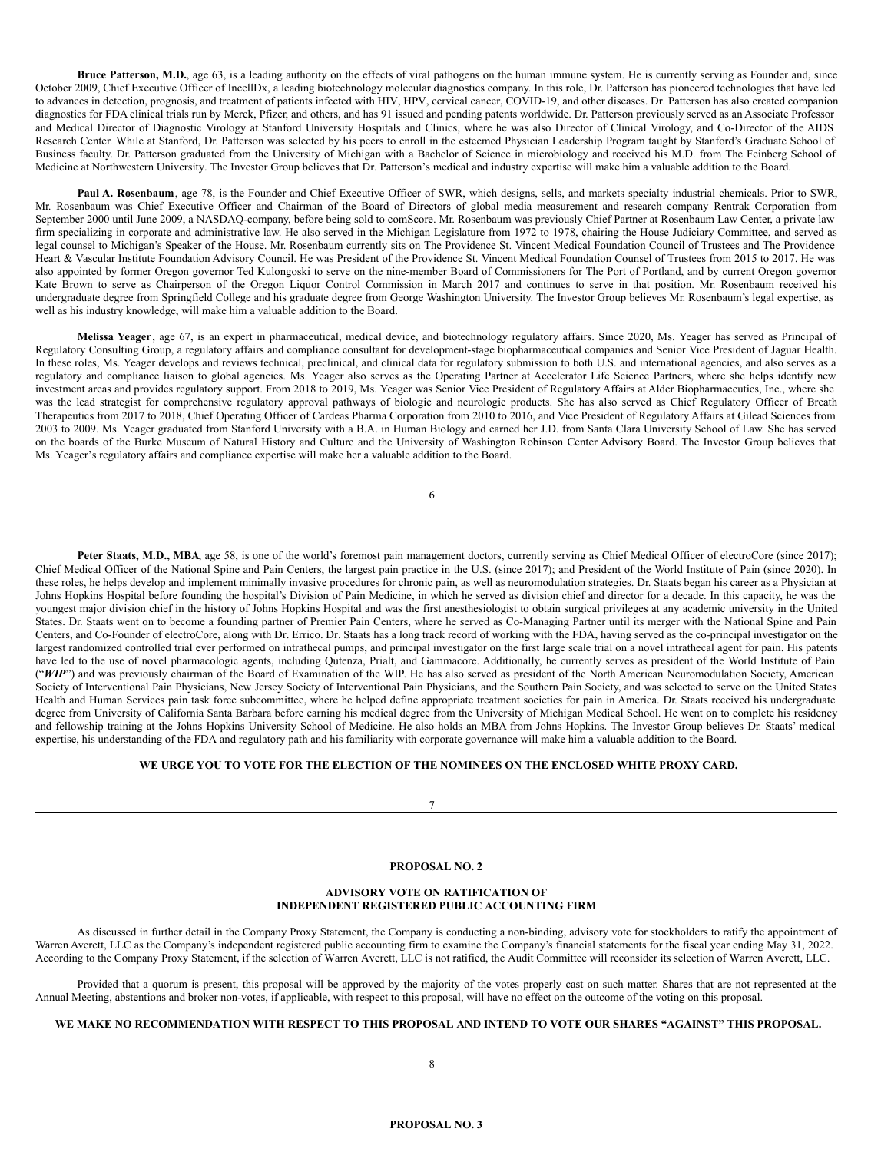**Bruce Patterson, M.D.**, age 63, is a leading authority on the effects of viral pathogens on the human immune system. He is currently serving as Founder and, since October 2009, Chief Executive Officer of IncellDx, a leading biotechnology molecular diagnostics company. In this role, Dr. Patterson has pioneered technologies that have led to advances in detection, prognosis, and treatment of patients infected with HIV, HPV, cervical cancer, COVID-19, and other diseases. Dr. Patterson has also created companion diagnostics for FDA clinical trials run by Merck, Pfizer, and others, and has 91 issued and pending patents worldwide. Dr. Patterson previously served as an Associate Professor and Medical Director of Diagnostic Virology at Stanford University Hospitals and Clinics, where he was also Director of Clinical Virology, and Co-Director of the AIDS Research Center. While at Stanford, Dr. Patterson was selected by his peers to enroll in the esteemed Physician Leadership Program taught by Stanford's Graduate School of Business faculty. Dr. Patterson graduated from the University of Michigan with a Bachelor of Science in microbiology and received his M.D. from The Feinberg School of Medicine at Northwestern University. The Investor Group believes that Dr. Patterson's medical and industry expertise will make him a valuable addition to the Board.

**Paul A. Rosenbaum**, age 78, is the Founder and Chief Executive Officer of SWR, which designs, sells, and markets specialty industrial chemicals. Prior to SWR, Mr. Rosenbaum was Chief Executive Officer and Chairman of the Board of Directors of global media measurement and research company Rentrak Corporation from September 2000 until June 2009, a NASDAQ-company, before being sold to comScore. Mr. Rosenbaum was previously Chief Partner at Rosenbaum Law Center, a private law firm specializing in corporate and administrative law. He also served in the Michigan Legislature from 1972 to 1978, chairing the House Judiciary Committee, and served as legal counsel to Michigan's Speaker of the House. Mr. Rosenbaum currently sits on The Providence St. Vincent Medical Foundation Council of Trustees and The Providence Heart & Vascular Institute Foundation Advisory Council. He was President of the Providence St. Vincent Medical Foundation Counsel of Trustees from 2015 to 2017. He was also appointed by former Oregon governor Ted Kulongoski to serve on the nine-member Board of Commissioners for The Port of Portland, and by current Oregon governor Kate Brown to serve as Chairperson of the Oregon Liquor Control Commission in March 2017 and continues to serve in that position. Mr. Rosenbaum received his undergraduate degree from Springfield College and his graduate degree from George Washington University. The Investor Group believes Mr. Rosenbaum's legal expertise, as well as his industry knowledge, will make him a valuable addition to the Board.

**Melissa Yeager**, age 67, is an expert in pharmaceutical, medical device, and biotechnology regulatory affairs. Since 2020, Ms. Yeager has served as Principal of Regulatory Consulting Group, a regulatory affairs and compliance consultant for development-stage biopharmaceutical companies and Senior Vice President of Jaguar Health. In these roles, Ms. Yeager develops and reviews technical, preclinical, and clinical data for regulatory submission to both U.S. and international agencies, and also serves as a regulatory and compliance liaison to global agencies. Ms. Yeager also serves as the Operating Partner at Accelerator Life Science Partners, where she helps identify new investment areas and provides regulatory support. From 2018 to 2019, Ms. Yeager was Senior Vice President of Regulatory Affairs at Alder Biopharmaceutics, Inc., where she was the lead strategist for comprehensive regulatory approval pathways of biologic and neurologic products. She has also served as Chief Regulatory Officer of Breath Therapeutics from 2017 to 2018, Chief Operating Officer of Cardeas Pharma Corporation from 2010 to 2016, and Vice President of Regulatory Affairs at Gilead Sciences from 2003 to 2009. Ms. Yeager graduated from Stanford University with a B.A. in Human Biology and earned her J.D. from Santa Clara University School of Law. She has served on the boards of the Burke Museum of Natural History and Culture and the University of Washington Robinson Center Advisory Board. The Investor Group believes that Ms. Yeager's regulatory affairs and compliance expertise will make her a valuable addition to the Board.

6

Peter Staats, M.D., MBA, age 58, is one of the world's foremost pain management doctors, currently serving as Chief Medical Officer of electroCore (since 2017); Chief Medical Officer of the National Spine and Pain Centers, the largest pain practice in the U.S. (since 2017); and President of the World Institute of Pain (since 2020). In these roles, he helps develop and implement minimally invasive procedures for chronic pain, as well as neuromodulation strategies. Dr. Staats began his career as a Physician at Johns Hopkins Hospital before founding the hospital's Division of Pain Medicine, in which he served as division chief and director for a decade. In this capacity, he was the youngest major division chief in the history of Johns Hopkins Hospital and was the first anesthesiologist to obtain surgical privileges at any academic university in the United States. Dr. Staats went on to become a founding partner of Premier Pain Centers, where he served as Co-Managing Partner until its merger with the National Spine and Pain Centers, and Co-Founder of electroCore, along with Dr. Errico. Dr. Staats has a long track record of working with the FDA, having served as the co-principal investigator on the largest randomized controlled trial ever performed on intrathecal pumps, and principal investigator on the first large scale trial on a novel intrathecal agent for pain. His patents have led to the use of novel pharmacologic agents, including Qutenza, Prialt, and Gammacore. Additionally, he currently serves as president of the World Institute of Pain ("*WIP*") and was previously chairman of the Board of Examination of the WIP. He has also served as president of the North American Neuromodulation Society, American Society of Interventional Pain Physicians, New Jersey Society of Interventional Pain Physicians, and the Southern Pain Society, and was selected to serve on the United States Health and Human Services pain task force subcommittee, where he helped define appropriate treatment societies for pain in America. Dr. Staats received his undergraduate degree from University of California Santa Barbara before earning his medical degree from the University of Michigan Medical School. He went on to complete his residency and fellowship training at the Johns Hopkins University School of Medicine. He also holds an MBA from Johns Hopkins. The Investor Group believes Dr. Staats' medical expertise, his understanding of the FDA and regulatory path and his familiarity with corporate governance will make him a valuable addition to the Board.

# **WE URGE YOU TO VOTE FOR THE ELECTION OF THE NOMINEES ON THE ENCLOSED WHITE PROXY CARD.**

7

# **PROPOSAL NO. 2**

# **ADVISORY VOTE ON RATIFICATION OF INDEPENDENT REGISTERED PUBLIC ACCOUNTING FIRM**

As discussed in further detail in the Company Proxy Statement, the Company is conducting a non-binding, advisory vote for stockholders to ratify the appointment of Warren Averett, LLC as the Company's independent registered public accounting firm to examine the Company's financial statements for the fiscal year ending May 31, 2022. According to the Company Proxy Statement, if the selection of Warren Averett, LLC is not ratified, the Audit Committee will reconsider its selection of Warren Averett, LLC.

Provided that a quorum is present, this proposal will be approved by the majority of the votes properly cast on such matter. Shares that are not represented at the Annual Meeting, abstentions and broker non-votes, if applicable, with respect to this proposal, will have no effect on the outcome of the voting on this proposal.

# WE MAKE NO RECOMMENDATION WITH RESPECT TO THIS PROPOSAL AND INTEND TO VOTE OUR SHARES "AGAINST" THIS PROPOSAL.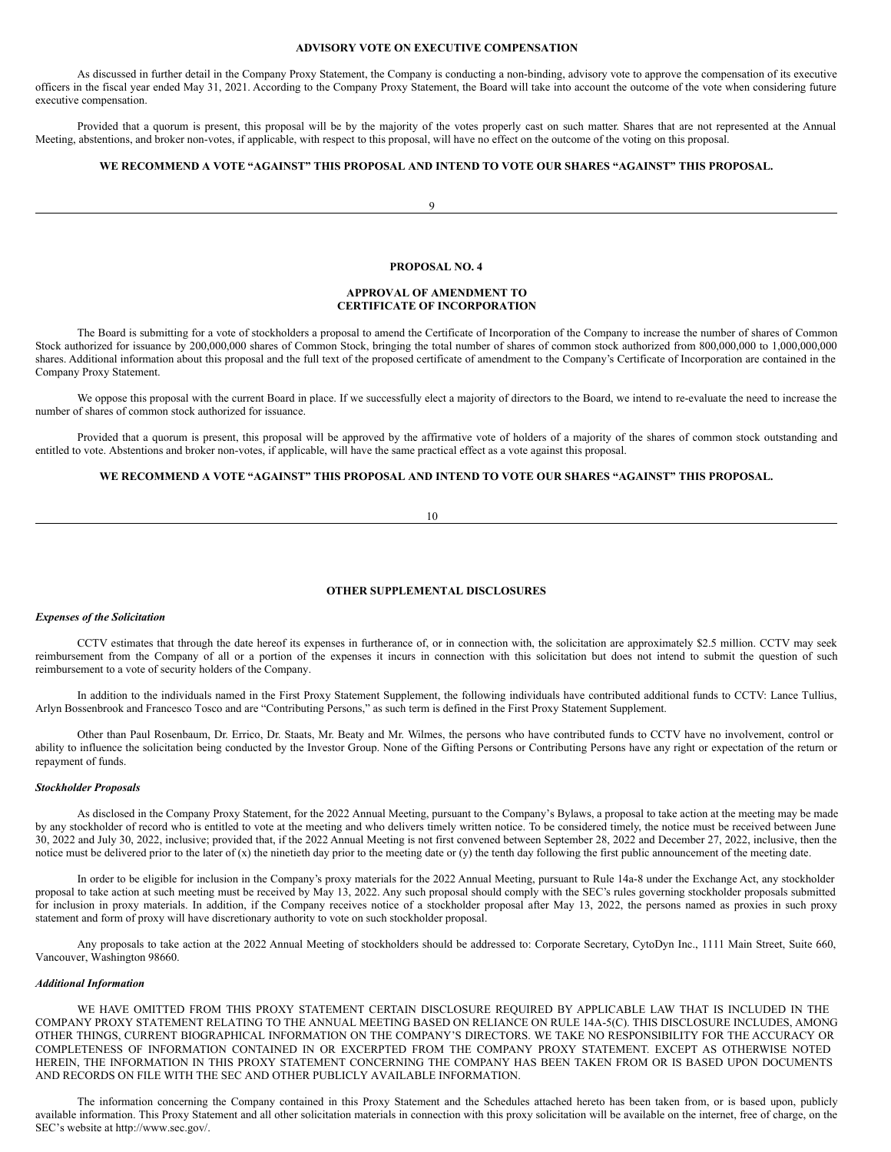# **ADVISORY VOTE ON EXECUTIVE COMPENSATION**

As discussed in further detail in the Company Proxy Statement, the Company is conducting a non-binding, advisory vote to approve the compensation of its executive officers in the fiscal year ended May 31, 2021. According to the Company Proxy Statement, the Board will take into account the outcome of the vote when considering future executive compensation.

Provided that a quorum is present, this proposal will be by the majority of the votes properly cast on such matter. Shares that are not represented at the Annual Meeting, abstentions, and broker non-votes, if applicable, with respect to this proposal, will have no effect on the outcome of the voting on this proposal.

# **WE RECOMMEND A VOTE "AGAINST" THIS PROPOSAL AND INTEND TO VOTE OUR SHARES "AGAINST" THIS PROPOSAL.**

 $\alpha$ 

### **PROPOSAL NO. 4**

### **APPROVAL OF AMENDMENT TO CERTIFICATE OF INCORPORATION**

The Board is submitting for a vote of stockholders a proposal to amend the Certificate of Incorporation of the Company to increase the number of shares of Common Stock authorized for issuance by 200,000,000 shares of Common Stock, bringing the total number of shares of common stock authorized from 800,000,000 to 1,000,000,000 shares. Additional information about this proposal and the full text of the proposed certificate of amendment to the Company's Certificate of Incorporation are contained in the Company Proxy Statement.

We oppose this proposal with the current Board in place. If we successfully elect a majority of directors to the Board, we intend to re-evaluate the need to increase the number of shares of common stock authorized for issuance.

Provided that a quorum is present, this proposal will be approved by the affirmative vote of holders of a majority of the shares of common stock outstanding and entitled to vote. Abstentions and broker non-votes, if applicable, will have the same practical effect as a vote against this proposal.

# **WE RECOMMEND A VOTE "AGAINST" THIS PROPOSAL AND INTEND TO VOTE OUR SHARES "AGAINST" THIS PROPOSAL.**

#### 10

### **OTHER SUPPLEMENTAL DISCLOSURES**

### *Expenses of the Solicitation*

CCTV estimates that through the date hereof its expenses in furtherance of, or in connection with, the solicitation are approximately \$2.5 million. CCTV may seek reimbursement from the Company of all or a portion of the expenses it incurs in connection with this solicitation but does not intend to submit the question of such reimbursement to a vote of security holders of the Company.

In addition to the individuals named in the First Proxy Statement Supplement, the following individuals have contributed additional funds to CCTV: Lance Tullius, Arlyn Bossenbrook and Francesco Tosco and are "Contributing Persons," as such term is defined in the First Proxy Statement Supplement.

Other than Paul Rosenbaum, Dr. Errico, Dr. Staats, Mr. Beaty and Mr. Wilmes, the persons who have contributed funds to CCTV have no involvement, control or ability to influence the solicitation being conducted by the Investor Group. None of the Gifting Persons or Contributing Persons have any right or expectation of the return or repayment of funds.

#### *Stockholder Proposals*

As disclosed in the Company Proxy Statement, for the 2022 Annual Meeting, pursuant to the Company's Bylaws, a proposal to take action at the meeting may be made by any stockholder of record who is entitled to vote at the meeting and who delivers timely written notice. To be considered timely, the notice must be received between June 30, 2022 and July 30, 2022, inclusive; provided that, if the 2022 Annual Meeting is not first convened between September 28, 2022 and December 27, 2022, inclusive, then the notice must be delivered prior to the later of (x) the ninetieth day prior to the meeting date or (y) the tenth day following the first public announcement of the meeting date.

In order to be eligible for inclusion in the Company's proxy materials for the 2022 Annual Meeting, pursuant to Rule 14a-8 under the Exchange Act, any stockholder proposal to take action at such meeting must be received by May 13, 2022. Any such proposal should comply with the SEC's rules governing stockholder proposals submitted for inclusion in proxy materials. In addition, if the Company receives notice of a stockholder proposal after May 13, 2022, the persons named as proxies in such proxy statement and form of proxy will have discretionary authority to vote on such stockholder proposal.

Any proposals to take action at the 2022 Annual Meeting of stockholders should be addressed to: Corporate Secretary, CytoDyn Inc., 1111 Main Street, Suite 660, Vancouver, Washington 98660.

# *Additional Information*

WE HAVE OMITTED FROM THIS PROXY STATEMENT CERTAIN DISCLOSURE REQUIRED BY APPLICABLE LAW THAT IS INCLUDED IN THE COMPANY PROXY STATEMENT RELATING TO THE ANNUAL MEETING BASED ON RELIANCE ON RULE 14A-5(C). THIS DISCLOSURE INCLUDES, AMONG OTHER THINGS, CURRENT BIOGRAPHICAL INFORMATION ON THE COMPANY'S DIRECTORS. WE TAKE NO RESPONSIBILITY FOR THE ACCURACY OR COMPLETENESS OF INFORMATION CONTAINED IN OR EXCERPTED FROM THE COMPANY PROXY STATEMENT. EXCEPT AS OTHERWISE NOTED HEREIN, THE INFORMATION IN THIS PROXY STATEMENT CONCERNING THE COMPANY HAS BEEN TAKEN FROM OR IS BASED UPON DOCUMENTS AND RECORDS ON FILE WITH THE SEC AND OTHER PUBLICLY AVAILABLE INFORMATION.

The information concerning the Company contained in this Proxy Statement and the Schedules attached hereto has been taken from, or is based upon, publicly available information. This Proxy Statement and all other solicitation materials in connection with this proxy solicitation will be available on the internet, free of charge, on the SEC's website at http://www.sec.gov/.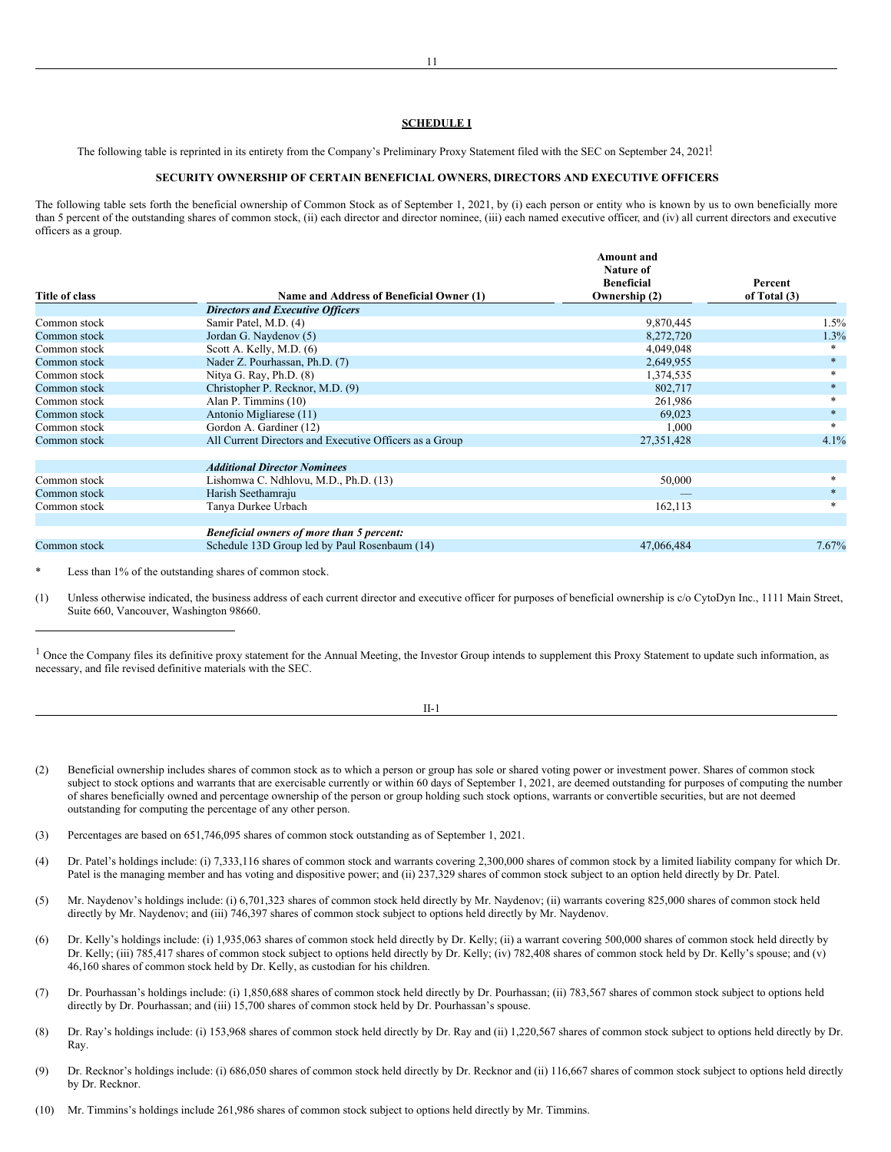## **SCHEDULE I**

The following table is reprinted in its entirety from the Company's Preliminary Proxy Statement filed with the SEC on September 24, 2021!

# **SECURITY OWNERSHIP OF CERTAIN BENEFICIAL OWNERS, DIRECTORS AND EXECUTIVE OFFICERS**

The following table sets forth the beneficial ownership of Common Stock as of September 1, 2021, by (i) each person or entity who is known by us to own beneficially more than 5 percent of the outstanding shares of common stock, (ii) each director and director nominee, (iii) each named executive officer, and (iv) all current directors and executive officers as a group.

|                |                                                         | <b>Amount and</b><br>Nature of<br><b>Beneficial</b> | Percent        |
|----------------|---------------------------------------------------------|-----------------------------------------------------|----------------|
| Title of class | Name and Address of Beneficial Owner (1)                | Ownership (2)                                       | of Total $(3)$ |
|                | <b>Directors and Executive Officers</b>                 |                                                     |                |
| Common stock   | Samir Patel, M.D. (4)                                   | 9,870,445                                           | $1.5\%$        |
| Common stock   | Jordan G. Naydenov (5)                                  | 8,272,720                                           | 1.3%           |
| Common stock   | Scott A. Kelly, M.D. $(6)$                              | 4,049,048                                           |                |
| Common stock   | Nader Z. Pourhassan, Ph.D. (7)                          | 2,649,955                                           |                |
| Common stock   | Nitya G. Ray, Ph.D. (8)                                 | 1,374,535                                           |                |
| Common stock   | Christopher P. Recknor, M.D. (9)                        | 802,717                                             | $\ast$         |
| Common stock   | Alan P. Timmins (10)                                    | 261,986                                             |                |
| Common stock   | Antonio Migliarese (11)                                 | 69,023                                              |                |
| Common stock   | Gordon A. Gardiner (12)                                 | 1,000                                               |                |
| Common stock   | All Current Directors and Executive Officers as a Group | 27,351,428                                          | 4.1%           |
|                | <b>Additional Director Nominees</b>                     |                                                     |                |
| Common stock   | Lishomwa C. Ndhlovu, M.D., Ph.D. (13)                   | 50,000                                              |                |
| Common stock   | Harish Seethamraju                                      |                                                     | $\ast$         |
| Common stock   | Tanya Durkee Urbach                                     | 162,113                                             |                |
|                | <b>Beneficial owners of more than 5 percent:</b>        |                                                     |                |
| Common stock   | Schedule 13D Group led by Paul Rosenbaum (14)           | 47,066,484                                          | 7.67%          |

Less than 1% of the outstanding shares of common stock.

(1) Unless otherwise indicated, the business address of each current director and executive officer for purposes of beneficial ownership is c/o CytoDyn Inc., 1111 Main Street, Suite 660, Vancouver, Washington 98660.

<sup>1</sup> Once the Company files its definitive proxy statement for the Annual Meeting, the Investor Group intends to supplement this Proxy Statement to update such information, as necessary, and file revised definitive materials with the SEC.

- (2) Beneficial ownership includes shares of common stock as to which a person or group has sole or shared voting power or investment power. Shares of common stock subject to stock options and warrants that are exercisable currently or within 60 days of September 1, 2021, are deemed outstanding for purposes of computing the number of shares beneficially owned and percentage ownership of the person or group holding such stock options, warrants or convertible securities, but are not deemed outstanding for computing the percentage of any other person.
- (3) Percentages are based on 651,746,095 shares of common stock outstanding as of September 1, 2021.
- (4) Dr. Patel's holdings include: (i) 7,333,116 shares of common stock and warrants covering 2,300,000 shares of common stock by a limited liability company for which Dr. Patel is the managing member and has voting and dispositive power; and (ii) 237,329 shares of common stock subject to an option held directly by Dr. Patel.
- (5) Mr. Naydenov's holdings include: (i) 6,701,323 shares of common stock held directly by Mr. Naydenov; (ii) warrants covering 825,000 shares of common stock held directly by Mr. Naydenov; and (iii) 746,397 shares of common stock subject to options held directly by Mr. Naydenov.
- (6) Dr. Kelly's holdings include: (i) 1,935,063 shares of common stock held directly by Dr. Kelly; (ii) a warrant covering 500,000 shares of common stock held directly by Dr. Kelly; (iii) 785,417 shares of common stock subject to options held directly by Dr. Kelly; (iv) 782,408 shares of common stock held by Dr. Kelly's spouse; and (v) 46,160 shares of common stock held by Dr. Kelly, as custodian for his children.
- (7) Dr. Pourhassan's holdings include: (i) 1,850,688 shares of common stock held directly by Dr. Pourhassan; (ii) 783,567 shares of common stock subject to options held directly by Dr. Pourhassan; and (iii) 15,700 shares of common stock held by Dr. Pourhassan's spouse.
- (8) Dr. Ray's holdings include: (i) 153,968 shares of common stock held directly by Dr. Ray and (ii) 1,220,567 shares of common stock subject to options held directly by Dr. Ray.
- (9) Dr. Recknor's holdings include: (i) 686,050 shares of common stock held directly by Dr. Recknor and (ii) 116,667 shares of common stock subject to options held directly by Dr. Recknor.
- (10) Mr. Timmins's holdings include 261,986 shares of common stock subject to options held directly by Mr. Timmins.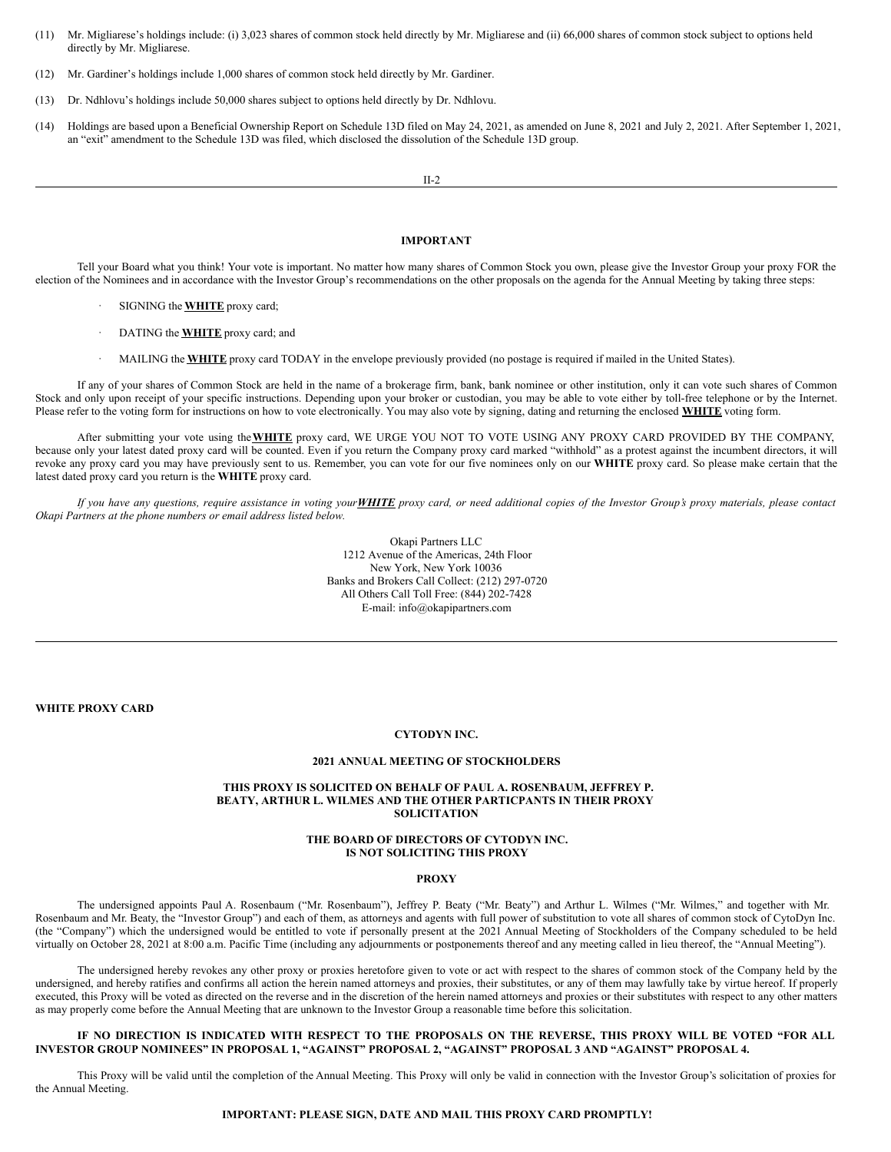- (11) Mr. Migliarese's holdings include: (i) 3,023 shares of common stock held directly by Mr. Migliarese and (ii) 66,000 shares of common stock subject to options held directly by Mr. Migliarese.
- (12) Mr. Gardiner's holdings include 1,000 shares of common stock held directly by Mr. Gardiner.
- (13) Dr. Ndhlovu's holdings include 50,000 shares subject to options held directly by Dr. Ndhlovu.
- (14) Holdings are based upon a Beneficial Ownership Report on Schedule 13D filed on May 24, 2021, as amended on June 8, 2021 and July 2, 2021. After September 1, 2021, an "exit" amendment to the Schedule 13D was filed, which disclosed the dissolution of the Schedule 13D group.

II-2

## **IMPORTANT**

Tell your Board what you think! Your vote is important. No matter how many shares of Common Stock you own, please give the Investor Group your proxy FOR the election of the Nominees and in accordance with the Investor Group's recommendations on the other proposals on the agenda for the Annual Meeting by taking three steps:

- · SIGNING the **WHITE** proxy card;
- · DATING the **WHITE** proxy card; and
- · MAILING the **WHITE** proxy card TODAY in the envelope previously provided (no postage is required if mailed in the United States).

If any of your shares of Common Stock are held in the name of a brokerage firm, bank, bank nominee or other institution, only it can vote such shares of Common Stock and only upon receipt of your specific instructions. Depending upon your broker or custodian, you may be able to vote either by toll-free telephone or by the Internet. Please refer to the voting form for instructions on how to vote electronically. You may also vote by signing, dating and returning the enclosed **WHITE** voting form.

After submitting your vote using the**WHITE** proxy card, WE URGE YOU NOT TO VOTE USING ANY PROXY CARD PROVIDED BY THE COMPANY, because only your latest dated proxy card will be counted. Even if you return the Company proxy card marked "withhold" as a protest against the incumbent directors, it will revoke any proxy card you may have previously sent to us. Remember, you can vote for our five nominees only on our **WHITE** proxy card. So please make certain that the latest dated proxy card you return is the **WHITE** proxy card.

If you have any questions, require assistance in voting your WHITE proxy card, or need additional copies of the Investor Group's proxy materials, please contact *Okapi Partners at the phone numbers or email address listed below.*

> Okapi Partners LLC 1212 Avenue of the Americas, 24th Floor New York, New York 10036 Banks and Brokers Call Collect: (212) 297-0720 All Others Call Toll Free: (844) 202-7428 E-mail: info@okapipartners.com

**WHITE PROXY CARD**

# **CYTODYN INC.**

# **2021 ANNUAL MEETING OF STOCKHOLDERS**

### **THIS PROXY IS SOLICITED ON BEHALF OF PAUL A. ROSENBAUM, JEFFREY P. BEATY, ARTHUR L. WILMES AND THE OTHER PARTICPANTS IN THEIR PROXY SOLICITATION**

# **THE BOARD OF DIRECTORS OF CYTODYN INC. IS NOT SOLICITING THIS PROXY**

### **PROXY**

The undersigned appoints Paul A. Rosenbaum ("Mr. Rosenbaum"), Jeffrey P. Beaty ("Mr. Beaty") and Arthur L. Wilmes ("Mr. Wilmes," and together with Mr. Rosenbaum and Mr. Beaty, the "Investor Group") and each of them, as attorneys and agents with full power of substitution to vote all shares of common stock of CytoDyn Inc. (the "Company") which the undersigned would be entitled to vote if personally present at the 2021 Annual Meeting of Stockholders of the Company scheduled to be held virtually on October 28, 2021 at 8:00 a.m. Pacific Time (including any adjournments or postponements thereof and any meeting called in lieu thereof, the "Annual Meeting").

The undersigned hereby revokes any other proxy or proxies heretofore given to vote or act with respect to the shares of common stock of the Company held by the undersigned, and hereby ratifies and confirms all action the herein named attorneys and proxies, their substitutes, or any of them may lawfully take by virtue hereof. If properly executed, this Proxy will be voted as directed on the reverse and in the discretion of the herein named attorneys and proxies or their substitutes with respect to any other matters as may properly come before the Annual Meeting that are unknown to the Investor Group a reasonable time before this solicitation.

## IF NO DIRECTION IS INDICATED WITH RESPECT TO THE PROPOSALS ON THE REVERSE, THIS PROXY WILL BE VOTED "FOR ALL **INVESTOR GROUP NOMINEES" IN PROPOSAL 1, "AGAINST" PROPOSAL 2, "AGAINST" PROPOSAL 3 AND "AGAINST" PROPOSAL 4.**

This Proxy will be valid until the completion of the Annual Meeting. This Proxy will only be valid in connection with the Investor Group's solicitation of proxies for the Annual Meeting.

### **IMPORTANT: PLEASE SIGN, DATE AND MAIL THIS PROXY CARD PROMPTLY!**